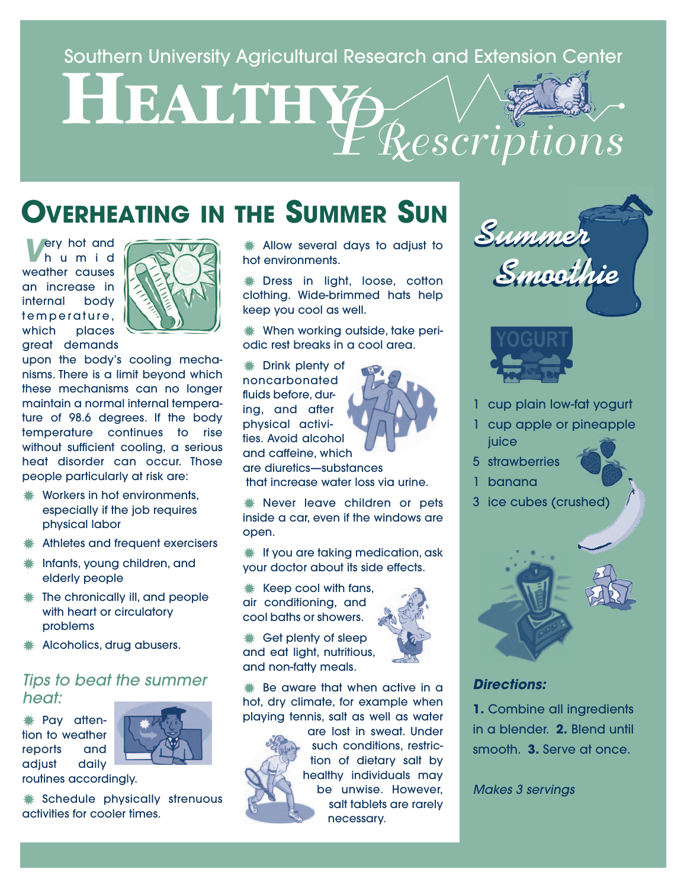# Southern University Agricultural Research and Extension Center<br> **HEALTHY** *PRescriptions*

### **OVERHEATING IN THE SUMMER SUN**

**V**ery hot and humid weather causes an increase in internal body temperature, which places great demands



upon the body's cooling mechanisms. There is a limit beyond which these mechanisms can no longer maintain a normal internal temperature of 98.6 degrees. If the body temperature continues to rise without sufficient cooling, a serious heat disorder can occur. Those people particularly at risk are:

- Workers in hot environments, especially if the job requires physical labor
- $*$  **Athletes and frequent exercisers**
- **✹** Infants, young children, and elderly people
- $*$  The chronically ill, and people with heart or circulatory problems
- **✹** Alcoholics, drug abusers.

### Tips to beat the summer heat:

**✹** Pay attention to weather reports and adjust daily



routines accordingly.

**✹** Schedule physically strenuous activities for cooler times.

**✹** Allow several days to adjust to hot environments.

**✹** Dress in light, loose, cotton clothing. Wide-brimmed hats help keep you cool as well.

**✹** When working outside, take periodic rest breaks in a cool area.

**✹** Drink plenty of noncarbonated fluids before, during, and after physical activities. Avoid alcohol and caffeine, which



are diuretics—substances that increase water loss via urine.

**✹** Never leave children or pets inside a car, even if the windows are open.

**✹** If you are taking medication, ask your doctor about its side effects.

- **✹** Keep cool with fans, air conditioning, and cool baths or showers.
- **✹** Get plenty of sleep and eat light, nutritious, and non-fatty meals.

**✹** Be aware that when active in a hot, dry climate, for example when playing tennis, salt as well as water



are lost in sweat. Under such conditions, restriction of dietary salt by healthy individuals may be unwise. However, salt tablets are rarely necessary.





- 1 cup plain low-fat yogurt
- 1 cup apple or pineapple **juice**
- 5 strawberries
- 1 banana
- 3 ice cubes (crushed)



### **Directions:**

**1.** Combine all ingredients in a blender. **2.** Blend until smooth. **3.** Serve at once.

Makes 3 servings

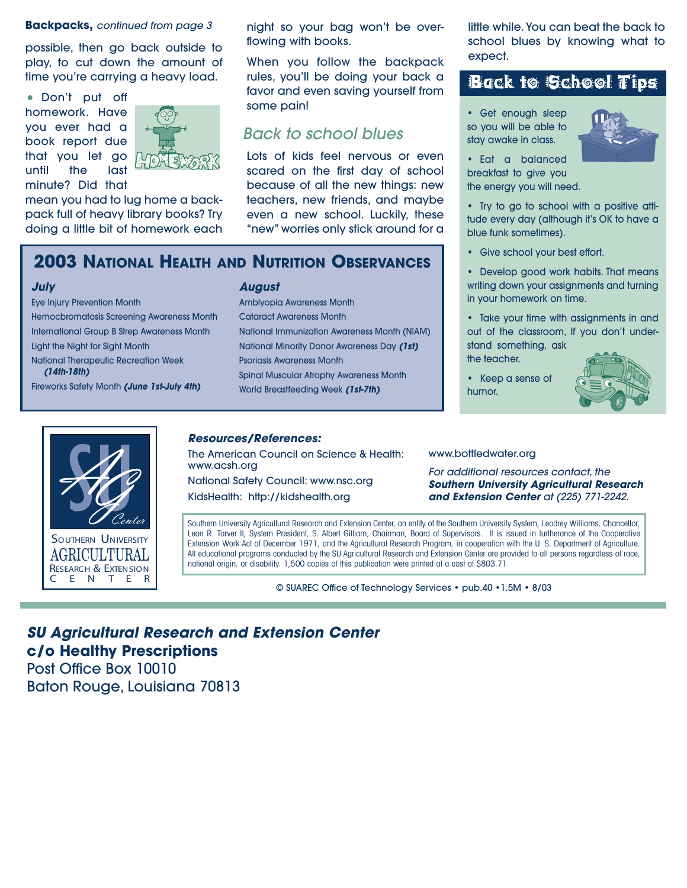### **Backpacks,** continued from page 3

possible, then go back outside to play, to cut down the amount of time you're carrying a heavy load.

• Don't put off homework. Have you ever had a book report due that you let go until the last minute? Did that



mean you had to lug home a backpack full of heavy library books? Try doing a little bit of homework each night so your bag won't be overflowing with books.

When you follow the backpack rules, you'll be doing your back a favor and even saving yourself from some pain!

### Back to school blues

Lots of kids feel nervous or even scared on the first day of school because of all the new things: new teachers, new friends, and maybe even a new school. Luckily, these "new" worries only stick around for a

### **2003 NATIONAL HEALTH AND NUTRITION OBSERVANCES**

### **July**

Eye Injury Prevention Month Hemocbromatosis Screening Awareness Month International Group B Strep Awareness Month Light the Night for Sight Month National Therapeutic Recreation Week **(14th-18th)** Fireworks Safety Month **(June 1st-July 4th)**

### **August**

Amblyopia Awareness Month Cataract Awareness Month National Immunization Awareness Month (NIAM) National Minority Donor Awareness Day **(1st)** Psoriasis Awareness Month Spinal Muscular Atrophy Awareness Month World Breastfeeding Week **(1st-7th)**

little while. You can beat the back to school blues by knowing what to expect.

### Back to School Tips

• Get enough sleep so you will be able to stay awake in class.



• Eat a balanced breakfast to give you the energy you will need.

• Try to go to school with a positive attitude every day (although it's OK to have a blue funk sometimes).

• Give school your best effort.

• Develop good work habits. That means writing down your assignments and turning in your homework on time.

• Take your time with assignments in and out of the classroom, If you don't understand something, ask

the teacher.

• Keep a sense of humor.





E N T E

### **Resources/References:**

The American Council on Science & Health: www.acsh.org National Safety Council: www.nsc.org KidsHealth: http://kidshealth.org

### www.bottledwater.org

For additional resources contact, the **Southern University Agricultural Research and Extension Center** at (225) 771-2242.

Southern University Agricultural Research and Extension Center, an entity of the Southern University System, Leodrey Williams, Chancellor, Leon R. Tarver II, System President, S. Albert Gilliam, Chairman, Board of Supervisors. It is issued in furtherance of the Cooperative Extension Work Act of December 1971, and the Agricultural Research Program, in cooperation with the U. S. Department of Agriculture. All educational programs conducted by the SU Agricultural Research and Extension Center are provided to all persons regardless of race, national origin, or disability. 1,500 copies of this publication were printed at a cost of \$803.71

© SUAREC Office of Technology Services • pub.40 •1.5M • 8/03

**SU Agricultural Research and Extension Center c/o Healthy Prescriptions** Post Office Box 10010

Baton Rouge, Louisiana 70813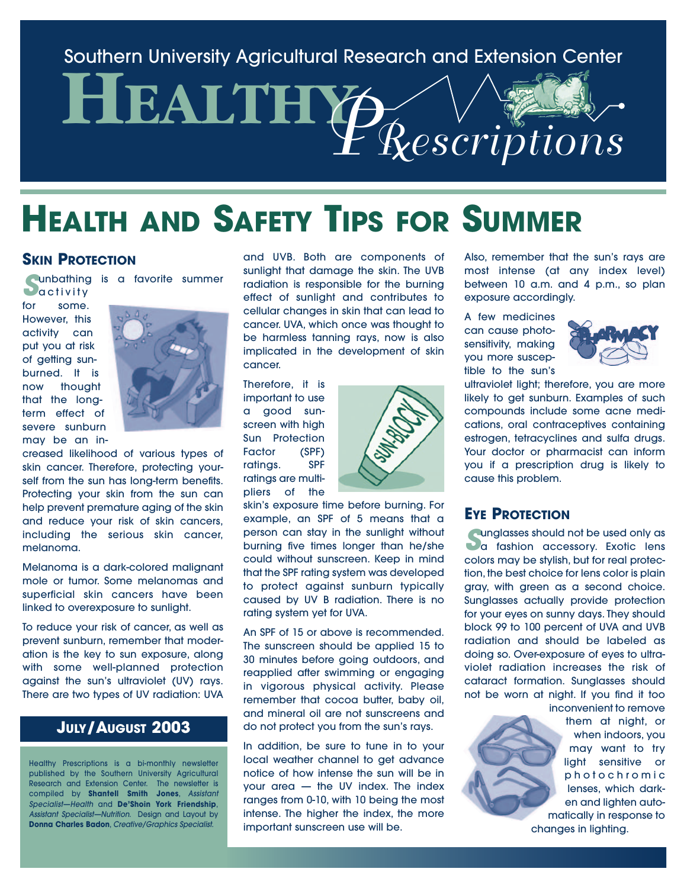Southern University Agricultural Research and Extension Center

# **HEALTHY** *PRescriptions*

### **HEALTH AND SAFETY TIPS FOR SUMMER**

### **SKIN PROTECTION**

**Sunbathing is a favorite summer**<br> **S**unday to the some some some  $\frac{1}{2}$ 

**D**activity some However, this activity can put you at risk of getting sunburned. It is now thought that the longterm effect of severe sunburn may be an in-



creased likelihood of various types of skin cancer. Therefore, protecting yourself from the sun has long-term benefits. Protecting your skin from the sun can help prevent premature aging of the skin and reduce your risk of skin cancers, including the serious skin cancer, melanoma.

Melanoma is a dark-colored malignant mole or tumor. Some melanomas and superficial skin cancers have been linked to overexposure to sunlight.

To reduce your risk of cancer, as well as prevent sunburn, remember that moderation is the key to sun exposure, along with some well-planned protection against the sun's ultraviolet (UV) rays. There are two types of UV radiation: UVA

### **JULY/AUGUST 2003**

Healthy Prescriptions is a bi-monthly newsletter published by the Southern University Agricultural Research and Extension Center. The newsletter is compiled by **Shantell Smith Jones**, Assistant Specialist—Health and **De'Shoin York Friendship**, Assistant Specialist—Nutrition. Design and Layout by **Donna Charles Badon**, Creative/Graphics Specialist.

and UVB. Both are components of sunlight that damage the skin. The UVB radiation is responsible for the burning effect of sunlight and contributes to cellular changes in skin that can lead to cancer. UVA, which once was thought to be harmless tanning rays, now is also implicated in the development of skin cancer.

Therefore, it is important to use a good sunscreen with high Sun Protection Factor (SPF) ratings. SPF ratings are multipliers of the



skin's exposure time before burning. For example, an SPF of 5 means that a person can stay in the sunlight without burning five times longer than he/she could without sunscreen. Keep in mind that the SPF rating system was developed to protect against sunburn typically caused by UV B radiation. There is no rating system yet for UVA.

An SPF of 15 or above is recommended. The sunscreen should be applied 15 to 30 minutes before going outdoors, and reapplied after swimming or engaging in vigorous physical activity. Please remember that cocoa butter, baby oil, and mineral oil are not sunscreens and do not protect you from the sun's rays.

In addition, be sure to tune in to your local weather channel to get advance notice of how intense the sun will be in your area — the UV index. The index ranges from 0-10, with 10 being the most intense. The higher the index, the more important sunscreen use will be.

Also, remember that the sun's rays are most intense (at any index level) between 10 a.m. and 4 p.m., so plan exposure accordingly.

A few medicines can cause photosensitivity, making you more susceptible to the sun's



ultraviolet light; therefore, you are more likely to get sunburn. Examples of such compounds include some acne medications, oral contraceptives containing estrogen, tetracyclines and sulfa drugs. Your doctor or pharmacist can inform you if a prescription drug is likely to cause this problem.

### **EYE PROTECTION**

**Sunglasses should not be used only as<br>a fashion accessory. Exotic lens** colors may be stylish, but for real protection, the best choice for lens color is plain gray, with green as a second choice. Sunglasses actually provide protection for your eyes on sunny days. They should block 99 to 100 percent of UVA and UVB radiation and should be labeled as doing so. Over-exposure of eyes to ultraviolet radiation increases the risk of cataract formation. Sunglasses should not be worn at night. If you find it too

inconvenient to remove them at night, or when indoors, you may want to try light sensitive or photochromic lenses, which darken and lighten automatically in response to changes in lighting.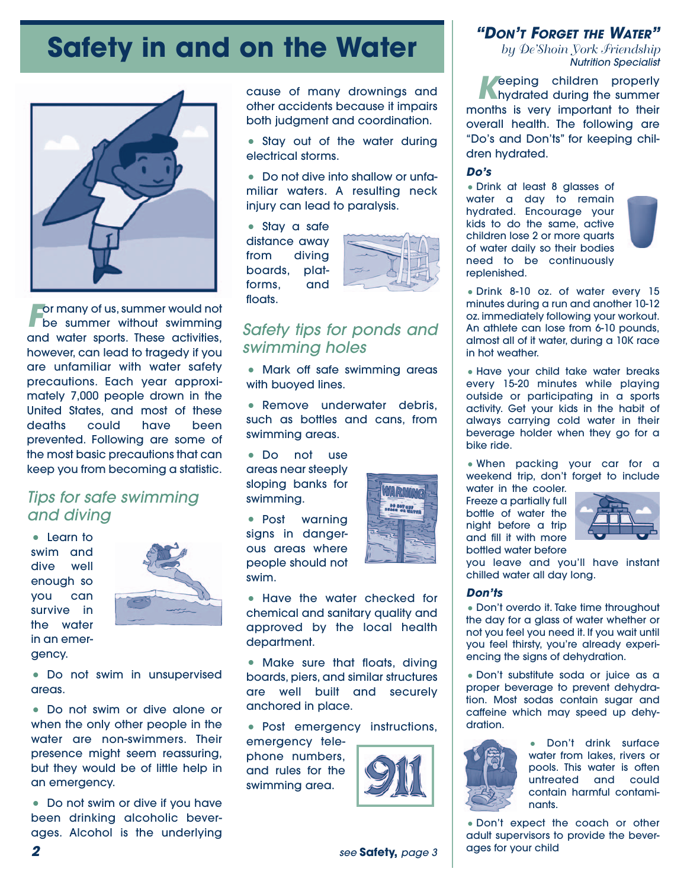### **Safety in and on the Water**



**For many of us, summer would not<br>be summer without swimming** and water sports. These activities, however, can lead to tragedy if you are unfamiliar with water safety precautions. Each year approximately 7,000 people drown in the United States, and most of these deaths could have been prevented. Following are some of the most basic precautions that can keep you from becoming a statistic.

### Tips for safe swimming and diving

• Learn to swim and dive well enough so you can survive in the water in an emergency.



• Do not swim in unsupervised areas.

• Do not swim or dive alone or when the only other people in the water are non-swimmers. Their presence might seem reassuring, but they would be of little help in an emergency.

• Do not swim or dive if you have been drinking alcoholic beverages. Alcohol is the underlying

cause of many drownings and other accidents because it impairs both judgment and coordination.

• Stay out of the water during electrical storms.

• Do not dive into shallow or unfamiliar waters. A resulting neck injury can lead to paralysis.

• Stay a safe distance away from diving boards, platforms, and floats.



### Safety tips for ponds and swimming holes

• Mark off safe swimming areas with buoyed lines.

• Remove underwater debris, such as bottles and cans, from swimming areas.

• Do not use areas near steeply sloping banks for swimming.

• Post warning signs in dangerous areas where people should not swim.



• Have the water checked for chemical and sanitary quality and approved by the local health department.

• Make sure that floats, divina boards, piers, and similar structures are well built and securely anchored in place.

• Post emergency instructions,

emergency telephone numbers, and rules for the swimming area.



### **"DON'T FORGET THE WATER"**

*by De'Shoin York Friendship* Nutrition Specialist

**Keeping children properly<br>
hydrated during the summer** months is very important to their overall health. The following are "Do's and Don'ts" for keeping children hydrated.

### **Do's**

• Drink at least 8 glasses of water a day to remain hydrated. Encourage your kids to do the same, active children lose 2 or more quarts of water daily so their bodies need to be continuously replenished.



• Drink 8-10 oz. of water every 15 minutes during a run and another 10-12 oz. immediately following your workout. An athlete can lose from 6-10 pounds, almost all of it water, during a 10K race in hot weather.

• Have your child take water breaks every 15-20 minutes while playing outside or participating in a sports activity. Get your kids in the habit of always carrying cold water in their beverage holder when they go for a bike ride.

• When packing your car for a weekend trip, don't forget to include

water in the cooler. Freeze a partially full bottle of water the night before a trip and fill it with more bottled water before



you leave and you'll have instant chilled water all day long.

### **Don'ts**

• Don't overdo it. Take time throughout the day for a glass of water whether or not you feel you need it. If you wait until you feel thirsty, you're already experiencing the signs of dehydration.

• Don't substitute soda or juice as a proper beverage to prevent dehydration. Most sodas contain sugar and caffeine which may speed up dehydration.



• Don't drink surface water from lakes, rivers or pools. This water is often untreated and could contain harmful contaminants.

• Don't expect the coach or other adult supervisors to provide the beversee **Safety**, page 3 | ages for your child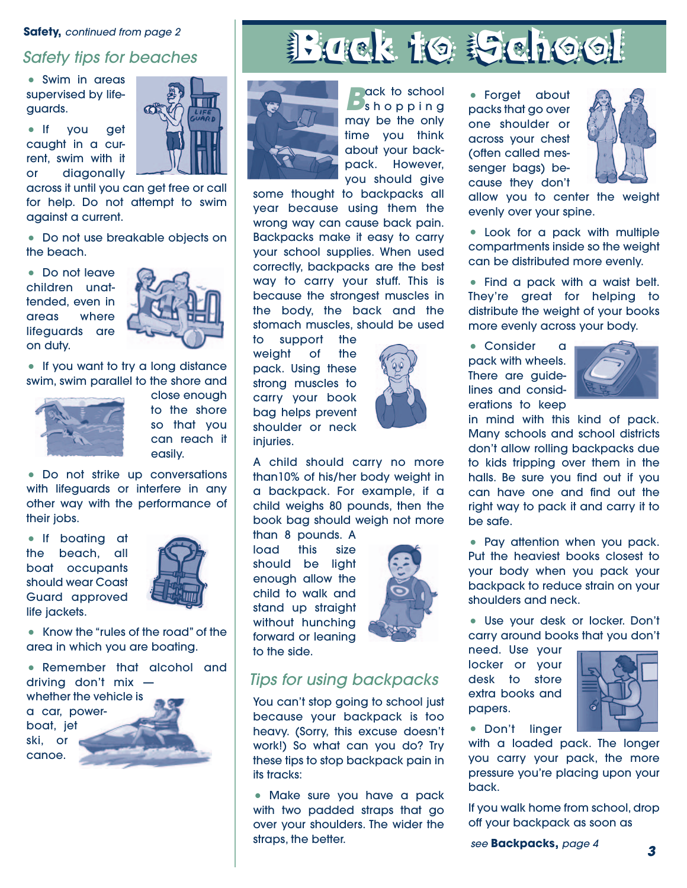### **Safety, continued from page 2**

supervised by lifeguards.

• If you get caught in a current, swim with it or diagonally

across it until you can get free or call for help. Do not attempt to swim against a current.

• Do not use breakable objects on the beach.

• Do not leave children unattended, even in areas where lifeguards are on duty.



• If you want to try a long distance swim, swim parallel to the shore and



close enough to the shore so that you can reach it easily.

• Do not strike up conversations with lifeguards or interfere in any other way with the performance of their jobs.

• If boating at the beach. boat occupants should wear Coast Guard approved life jackets.



• Know the "rules of the road" of the area in which you are boating.

• Remember that alcohol and driving don't mix whether the vehicle is a car, powerboat, jet ski, or canoe.







**Back** to school<br> **Back** to pping may be the only time you think about your backpack. However, you should give

some thought to backpacks all year because using them the wrong way can cause back pain. Backpacks make it easy to carry your school supplies. When used correctly, backpacks are the best way to carry your stuff. This is because the strongest muscles in the body, the back and the stomach muscles, should be used

to support the weight of the pack. Using these strong muscles to carry your book bag helps prevent shoulder or neck injuries.



A child should carry no more than10% of his/her body weight in a backpack. For example, if a child weighs 80 pounds, then the book bag should weigh not more

than 8 pounds. A load this size should be light enough allow the child to walk and stand up straight without hunching forward or leaning to the side.



### Tips for using backpacks

You can't stop going to school just because your backpack is too heavy. (Sorry, this excuse doesn't work!) So what can you do? Try these tips to stop backpack pain in its tracks:

• Make sure you have a pack with two padded straps that go over your shoulders. The wider the straps, the better.

• Forget about packs that go over one shoulder or across your chest (often called messenger bags) because they don't



allow you to center the weight evenly over your spine.

• Look for a pack with multiple compartments inside so the weight can be distributed more evenly.

• Find a pack with a waist belt. They're great for helping to distribute the weight of your books more evenly across your body.

• Consider a pack with wheels. There are guidelines and considerations to keep



in mind with this kind of pack. Many schools and school districts don't allow rolling backpacks due to kids tripping over them in the halls. Be sure you find out if you can have one and find out the right way to pack it and carry it to be safe.

• Pay attention when you pack. Put the heaviest books closest to your body when you pack your backpack to reduce strain on your shoulders and neck.

• Use your desk or locker. Don't carry around books that you don't

need. Use your locker or your desk to store extra books and papers.



• Don't linger

with a loaded pack. The longer you carry your pack, the more pressure you're placing upon your back.

If you walk home from school, drop off your backpack as soon as

**<sup>3</sup>** see **Backpacks,** page 4